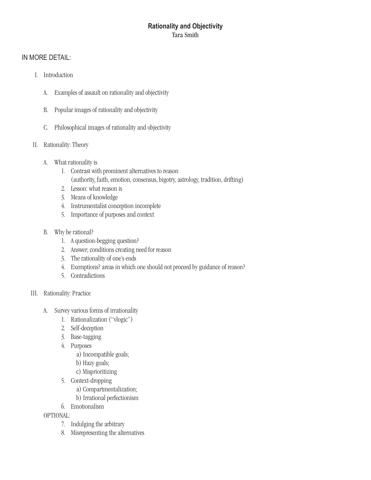# **Rationality and Objectivity** Tara Smith

### IN MORE DETAIL:

- I. Introduction
	- A. Examples of assault on rationality and objectivity
	- B. Popular images of rationality and objectivity
	- C. Philosophical images of rationality and objectivity
- II. Rationality: Theory
	- A. What rationality is
		- 1. Contrast with prominent alternatives to reason (authority, faith, emotion, consensus, bigotry, astrology, tradition, drifting)
		- 2. Lesson: what reason is
		- 3. Meansofknowledge
		- 4. Instrumentalist conception incomplete
		- 5. Importance of purposes and context
	- B. Why be rational?
		- 1. A question-begging question?
		- 2. Answer; conditions creating need for reason
		- 3. The rationality of one's ends
		- 4. Exemptions? areas in which one should not proceed by guidance of reason?
		- 5. Contradictions

### III. Rationality: Practice

- A. Survey various forms of irrationality
	- 1. Rationalization ("vlogic")
	- 2. Self-deception
	- 3. Base-tagging
	- 4. Purposes
		- a) Incompatible goals;
		- b) Hazygoals;
		- c) Misprioritizing
	- 5. Context-dropping
		- a) Compartmentalization;
		- b) Irrational perfectionism
	- 6. Emotionalism

### OPTIONAL:

- 7. Indulging the arbitrary
- 8. Misrepresenting the alternatives